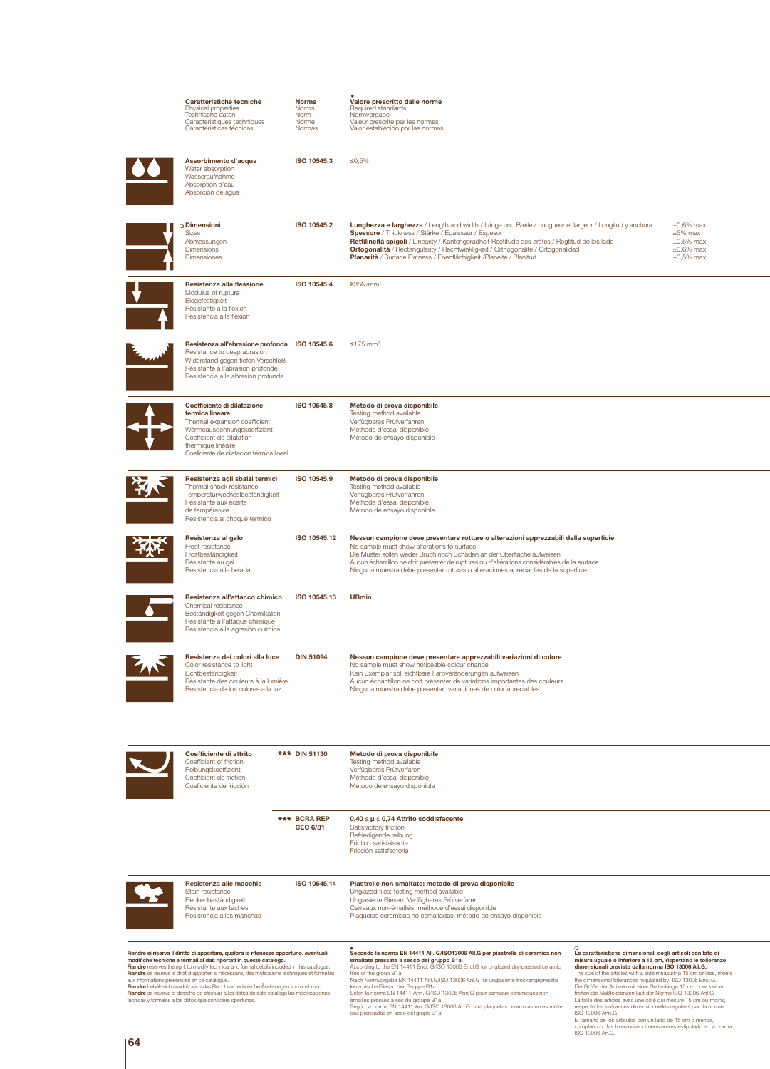|                                                                                                                                                                                                                                                                                                                                                                                                                                                                                                                                                                                                                                                              | Caratteristiche tecniche<br>Physical properties<br>Technische daten<br>Caracteristiques techniques<br>Características técnicas                                                                                | <b>Norme</b><br><b>Norms</b><br>Norm<br>Norme<br>Normas                                                                                                                                                                                                                                                                                            | Valore prescritto dalle norme<br>Required standards<br>Normvorgabe<br>Valeur prescrite par les normes<br>Valor establecido por las normas                                                                                                                                                                                                                                                                                                                                                                                                                                                                                     |                                                                                                                                                                                                                                                                                                                                                                                                                                                                                                                                                                                                                       |
|--------------------------------------------------------------------------------------------------------------------------------------------------------------------------------------------------------------------------------------------------------------------------------------------------------------------------------------------------------------------------------------------------------------------------------------------------------------------------------------------------------------------------------------------------------------------------------------------------------------------------------------------------------------|---------------------------------------------------------------------------------------------------------------------------------------------------------------------------------------------------------------|----------------------------------------------------------------------------------------------------------------------------------------------------------------------------------------------------------------------------------------------------------------------------------------------------------------------------------------------------|-------------------------------------------------------------------------------------------------------------------------------------------------------------------------------------------------------------------------------------------------------------------------------------------------------------------------------------------------------------------------------------------------------------------------------------------------------------------------------------------------------------------------------------------------------------------------------------------------------------------------------|-----------------------------------------------------------------------------------------------------------------------------------------------------------------------------------------------------------------------------------------------------------------------------------------------------------------------------------------------------------------------------------------------------------------------------------------------------------------------------------------------------------------------------------------------------------------------------------------------------------------------|
|                                                                                                                                                                                                                                                                                                                                                                                                                                                                                                                                                                                                                                                              | Assorbimento d'acqua<br>Water absorption<br>Wasseraufnahme<br>Absorption d'eau<br>Absorción de agua                                                                                                           | ISO 10545.3                                                                                                                                                                                                                                                                                                                                        | ≤0,5%                                                                                                                                                                                                                                                                                                                                                                                                                                                                                                                                                                                                                         |                                                                                                                                                                                                                                                                                                                                                                                                                                                                                                                                                                                                                       |
|                                                                                                                                                                                                                                                                                                                                                                                                                                                                                                                                                                                                                                                              | $\circ$ Dimensioni<br><b>Sizes</b><br>Abmessungen<br><b>Dimensions</b><br><b>Dimensiones</b>                                                                                                                  | ISO 10545.2                                                                                                                                                                                                                                                                                                                                        | Lunghezza e larghezza / Length and width / Länge und Breite / Longueur et largeur / Longitud y anchura<br>Spessore / Thickness / Stärke / Epaisseur / Espesor<br>Rettilineità spigoli / Linearity / Kantengeradheit Rectitude des arêtes / Regtitud de los lado<br>Ortogonalità / Rectangularity / Rechtwinkligkeit / Orthogonalité / Ortogonalidad<br>Planarità / Surface Flatness / Ebenflächigkeit / Planéité / Planitud                                                                                                                                                                                                   | $\pm 0.6\%$ max<br>$\pm 5\%$ max<br>$\pm 0.5\%$ max<br>$\pm 0.6\%$ max<br>$\pm 0.5\%$ max                                                                                                                                                                                                                                                                                                                                                                                                                                                                                                                             |
|                                                                                                                                                                                                                                                                                                                                                                                                                                                                                                                                                                                                                                                              | Resistenza alla flessione<br>Modulus of rupture<br>Biegefestigkeit<br>Résistante à la flexion<br>Resistencia a la flexión                                                                                     | ISO 10545.4                                                                                                                                                                                                                                                                                                                                        | $≥35N/mm2$                                                                                                                                                                                                                                                                                                                                                                                                                                                                                                                                                                                                                    |                                                                                                                                                                                                                                                                                                                                                                                                                                                                                                                                                                                                                       |
|                                                                                                                                                                                                                                                                                                                                                                                                                                                                                                                                                                                                                                                              | Resistenza all'abrasione profonda<br>Resistance to deep abrasion<br>Widerstand gegen tiefen Verschleiß<br>Résistante à l'abrasion profonde<br>Resistencia a la abrasión profunda                              | ISO 10545.6                                                                                                                                                                                                                                                                                                                                        | $\leq$ 175 mm <sup>3</sup>                                                                                                                                                                                                                                                                                                                                                                                                                                                                                                                                                                                                    |                                                                                                                                                                                                                                                                                                                                                                                                                                                                                                                                                                                                                       |
|                                                                                                                                                                                                                                                                                                                                                                                                                                                                                                                                                                                                                                                              | Coefficiente di dilatazione<br>termica lineare<br>Thermal expansion coefficient<br>Wärmeausdehnungskoeffizient<br>Coefficient de dilatation<br>thermique linéaire<br>Coeficiente de dilatación térmica lineal | ISO 10545.8                                                                                                                                                                                                                                                                                                                                        | Metodo di prova disponibile<br>Testing method available<br>Verfügbares Prüfverfahren<br>Méthode d'essai disponible<br>Método de ensayo disponible                                                                                                                                                                                                                                                                                                                                                                                                                                                                             |                                                                                                                                                                                                                                                                                                                                                                                                                                                                                                                                                                                                                       |
|                                                                                                                                                                                                                                                                                                                                                                                                                                                                                                                                                                                                                                                              | Resistenza agli sbalzi termici<br>Thermal shock resistance<br>Temperaturwecheslbeständigkeit<br>Résistante aux écarts<br>de température<br>Resistencia al choque térmico                                      | ISO 10545.9                                                                                                                                                                                                                                                                                                                                        | Metodo di prova disponibile<br>Testing method available<br>Verfügbares Prüfverfahren<br>Méthode d'essai disponible<br>Método de ensayo disponible                                                                                                                                                                                                                                                                                                                                                                                                                                                                             |                                                                                                                                                                                                                                                                                                                                                                                                                                                                                                                                                                                                                       |
|                                                                                                                                                                                                                                                                                                                                                                                                                                                                                                                                                                                                                                                              | Resistenza al gelo<br>Frost resistance<br>Frostbeständigkeit<br>Résistante au gel<br>Resistencia a la helada                                                                                                  | ISO 10545.12                                                                                                                                                                                                                                                                                                                                       | Nessun campione deve presentare rotture o alterazioni apprezzabili della superficie<br>No sample must show alterations to surface<br>Die Muster sollen weder Bruch noch Schäden an der Oberfläche aufweisen<br>Aucun échantillon ne doit présenter de ruptures ou d'altérations considérables de la surface<br>Ninguna muestra debe presentar roturas o alteraciones apreciables de la superficie                                                                                                                                                                                                                             |                                                                                                                                                                                                                                                                                                                                                                                                                                                                                                                                                                                                                       |
|                                                                                                                                                                                                                                                                                                                                                                                                                                                                                                                                                                                                                                                              | Resistenza all'attacco chimico<br>Chemical resistance<br>Beständigkeit gegen Chemikalien<br>Résistante à l'attaque chimique<br>Resistencia a la agresión guímica                                              | ISO 10545.13                                                                                                                                                                                                                                                                                                                                       | <b>UBmin</b>                                                                                                                                                                                                                                                                                                                                                                                                                                                                                                                                                                                                                  |                                                                                                                                                                                                                                                                                                                                                                                                                                                                                                                                                                                                                       |
|                                                                                                                                                                                                                                                                                                                                                                                                                                                                                                                                                                                                                                                              | Resistenza dei colori alla luce<br>Color resistance to light<br>Lichtbeständigkeit<br>Résistante des couleurs à la lumière<br>Resistencia de los colores a la luz                                             | <b>DIN 51094</b><br>Nessun campione deve presentare apprezzabili variazioni di colore<br>No sample must show noticeable colour change<br>Kein Exemplar soll sichtbare Farbveränderungen aufweisen<br>Aucun échantillon ne doit présenter de variations importantes des couleurs<br>Ninguna muestra debe presentar variaciones de color apreciables |                                                                                                                                                                                                                                                                                                                                                                                                                                                                                                                                                                                                                               |                                                                                                                                                                                                                                                                                                                                                                                                                                                                                                                                                                                                                       |
|                                                                                                                                                                                                                                                                                                                                                                                                                                                                                                                                                                                                                                                              | Coefficiente di attrito<br>Coefficient of friction<br>Reibungskoeffizient<br>Coefficient de friction<br>Coeficiente de fricción                                                                               | *** DIN 51130                                                                                                                                                                                                                                                                                                                                      | Metodo di prova disponibile<br>Testing method available<br>Verfügbares Prüfverfaren<br>Méthode d'essai disponible<br>Método de ensayo disponible                                                                                                                                                                                                                                                                                                                                                                                                                                                                              |                                                                                                                                                                                                                                                                                                                                                                                                                                                                                                                                                                                                                       |
|                                                                                                                                                                                                                                                                                                                                                                                                                                                                                                                                                                                                                                                              |                                                                                                                                                                                                               | *** BCRA REP<br><b>CEC 6/81</b>                                                                                                                                                                                                                                                                                                                    | $0,40 \leq \mu \leq 0,74$ Attrito soddisfacente<br>Satisfactory friction<br>Befriedigende reibung<br>Friction satisfaisante<br>Fricción satisfactoria                                                                                                                                                                                                                                                                                                                                                                                                                                                                         |                                                                                                                                                                                                                                                                                                                                                                                                                                                                                                                                                                                                                       |
|                                                                                                                                                                                                                                                                                                                                                                                                                                                                                                                                                                                                                                                              | Resistenza alle macchie<br>Stain resistance<br>Fleckenbeständigkeit<br>Résistante aux taches<br>Resistencia a las manchas                                                                                     | ISO 10545.14                                                                                                                                                                                                                                                                                                                                       | Piastrelle non smaltate: metodo di prova disponibile<br>Unglazed tiles: testing method available<br>Unglasierte Fliesen: Verfügbares Prüfverfaren<br>Carreaux non-émaillés: méthode d'essai disponible<br>Plaquetas ceramicas no esmaltadas: método de ensayo disponible                                                                                                                                                                                                                                                                                                                                                      |                                                                                                                                                                                                                                                                                                                                                                                                                                                                                                                                                                                                                       |
| Fiandre si riserva il diritto di apportare, qualora lo ritenesse opportuno, eventuali<br>modifiche tecniche e formali ai dati riportati in questo catalogo.<br>Fiandre reserves the right to modify technical and formal details included in this catalogue.<br>Fiandre se réserve le droit d'apporter, si nécéssaire, des mofications techniques et formelles<br>aux informations presénstes en ce catalogue.<br>Fiandre behält sich ausdrücklich das Recht vor technische Änderungen vorzunehmen.<br>Fiandre se reserva el derecho de efectuar a los datos de este catálogo las modificaciones<br>técnicas y formales a los datos que considere oportunas. |                                                                                                                                                                                                               |                                                                                                                                                                                                                                                                                                                                                    | Secondo la norma EN 14411 All. G/ISO13006 All.G per piastrelle di ceramica non<br>smaltate pressate a secco del gruppo B1a.<br>According to the EN 14411 Encl. G/ISO 13006 Encl.G for unglazed dry-pressed ceramic<br>tiles of the group B1a.<br>Nach Normvorgabe EN 14411 Anl.G/ISO 13006 Anl.G für unglasierte trockengepresste<br>keramische Fliesen der Gruppe B1a.<br>Selon la norme EN 14411 Ann. G/ISO 13006 Ann. G pour carreaux céramiques non<br>émaillés pressés à sec du groupe B1a.<br>Según la norma EN 14411 An. G/ISO 13006 An.G para plaquetas ceramicas no esmalta-<br>das prensadas en seco del grupo B1a. | $\circ$<br>Le caratteristiche dimensionali degli articoli con lato di<br>misura uguale o inferiore a 15 cm, rispettano le tolleranze<br>dimensionali previste dalla norma ISO 13006 All.G.<br>The size of the articles with a side measuring 15 cm or less, meets<br>the dimensional tolerances regulated by ISO 13006 Encl.G.<br>Die Größe der Artikeln mit einer Seitenlänge 15 cm oder kleiner,<br>treffen die Maßtoleranzen laut der Norme ISO 13006 Anl.G<br>La taille des articles avec une côté qui mesure 15 cm ou moins,<br>respecte les tolérances dimensionnelles regulees par la norme<br>ISO 13006 Ann.G |